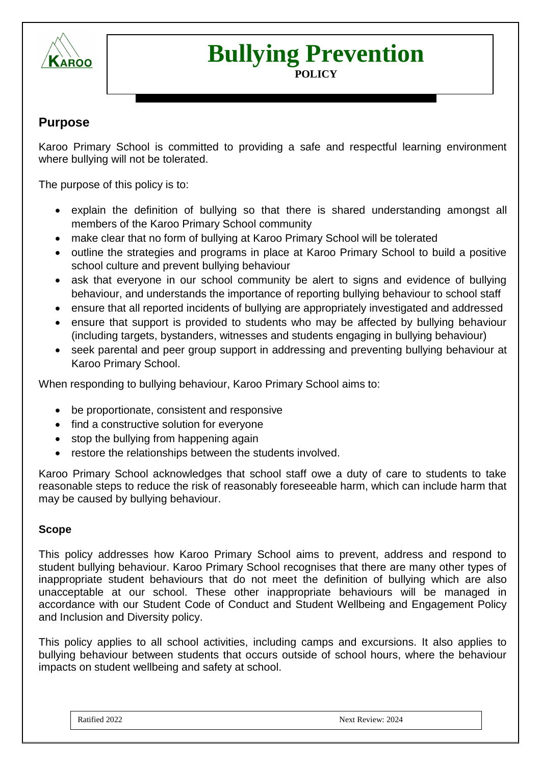

# **Bullying Prevention**

#### **POLICY**

# **Purpose**

Karoo Primary School is committed to providing a safe and respectful learning environment where bullying will not be tolerated.

The purpose of this policy is to:

- explain the definition of bullying so that there is shared understanding amongst all members of the Karoo Primary School community
- make clear that no form of bullying at Karoo Primary School will be tolerated
- outline the strategies and programs in place at Karoo Primary School to build a positive school culture and prevent bullying behaviour
- ask that everyone in our school community be alert to signs and evidence of bullying behaviour, and understands the importance of reporting bullying behaviour to school staff
- ensure that all reported incidents of bullying are appropriately investigated and addressed
- ensure that support is provided to students who may be affected by bullying behaviour (including targets, bystanders, witnesses and students engaging in bullying behaviour)
- seek parental and peer group support in addressing and preventing bullying behaviour at Karoo Primary School.

When responding to bullying behaviour, Karoo Primary School aims to:

- be proportionate, consistent and responsive
- find a constructive solution for everyone
- stop the bullying from happening again
- restore the relationships between the students involved.

Karoo Primary School acknowledges that school staff owe a duty of care to students to take reasonable steps to reduce the risk of reasonably foreseeable harm, which can include harm that may be caused by bullying behaviour.

#### **Scope**

This policy addresses how Karoo Primary School aims to prevent, address and respond to student bullying behaviour. Karoo Primary School recognises that there are many other types of inappropriate student behaviours that do not meet the definition of bullying which are also unacceptable at our school. These other inappropriate behaviours will be managed in accordance with our Student Code of Conduct and Student Wellbeing and Engagement Policy and Inclusion and Diversity policy.

This policy applies to all school activities, including camps and excursions. It also applies to bullying behaviour between students that occurs outside of school hours, where the behaviour impacts on student wellbeing and safety at school.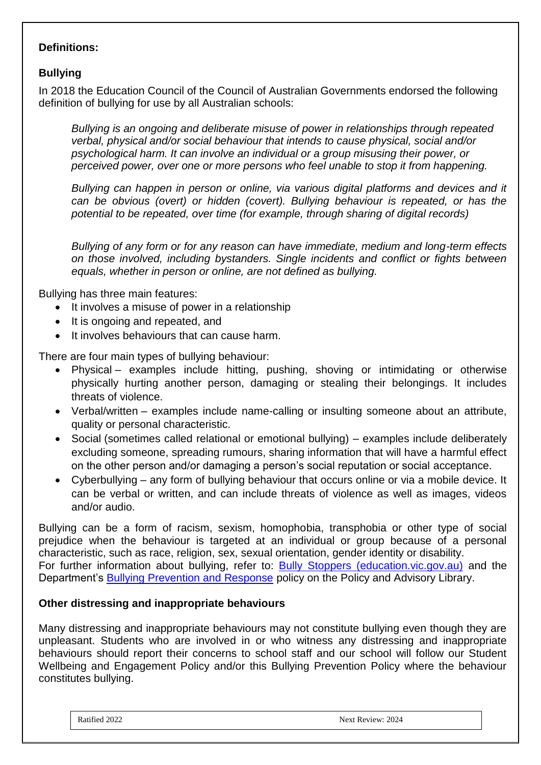## **Definitions:**

# **Bullying**

In 2018 the Education Council of the Council of Australian Governments endorsed the following definition of bullying for use by all Australian schools:

*Bullying is an ongoing and deliberate misuse of power in relationships through repeated verbal, physical and/or social behaviour that intends to cause physical, social and/or psychological harm. It can involve an individual or a group misusing their power, or perceived power, over one or more persons who feel unable to stop it from happening.*

*Bullying can happen in person or online, via various digital platforms and devices and it can be obvious (overt) or hidden (covert). Bullying behaviour is repeated, or has the potential to be repeated, over time (for example, through sharing of digital records)*

*Bullying of any form or for any reason can have immediate, medium and long-term effects on those involved, including bystanders. Single incidents and conflict or fights between equals, whether in person or online, are not defined as bullying.* 

Bullying has three main features:

- It involves a misuse of power in a relationship
- It is ongoing and repeated, and
- It involves behaviours that can cause harm.

There are four main types of bullying behaviour:

- Physical examples include hitting, pushing, shoving or intimidating or otherwise physically hurting another person, damaging or stealing their belongings. It includes threats of violence.
- Verbal/written examples include name-calling or insulting someone about an attribute, quality or personal characteristic.
- Social (sometimes called relational or emotional bullying) examples include deliberately excluding someone, spreading rumours, sharing information that will have a harmful effect on the other person and/or damaging a person's social reputation or social acceptance.
- Cyberbullying any form of bullying behaviour that occurs online or via a mobile device. It can be verbal or written, and can include threats of violence as well as images, videos and/or audio.

Bullying can be a form of racism, sexism, homophobia, transphobia or other type of social prejudice when the behaviour is targeted at an individual or group because of a personal characteristic, such as race, religion, sex, sexual orientation, gender identity or disability. For further information about bullying, refer to: [Bully Stoppers \(education.vic.gov.au\)](https://www.education.vic.gov.au/about/programs/bullystoppers/Pages/default.aspx) and the Department's [Bullying Prevention and Response](https://www2.education.vic.gov.au/pal/bullying-prevention-response/policy) policy on the Policy and Advisory Library.

#### **Other distressing and inappropriate behaviours**

Many distressing and inappropriate behaviours may not constitute bullying even though they are unpleasant. Students who are involved in or who witness any distressing and inappropriate behaviours should report their concerns to school staff and our school will follow our Student Wellbeing and Engagement Policy and/or this Bullying Prevention Policy where the behaviour constitutes bullying.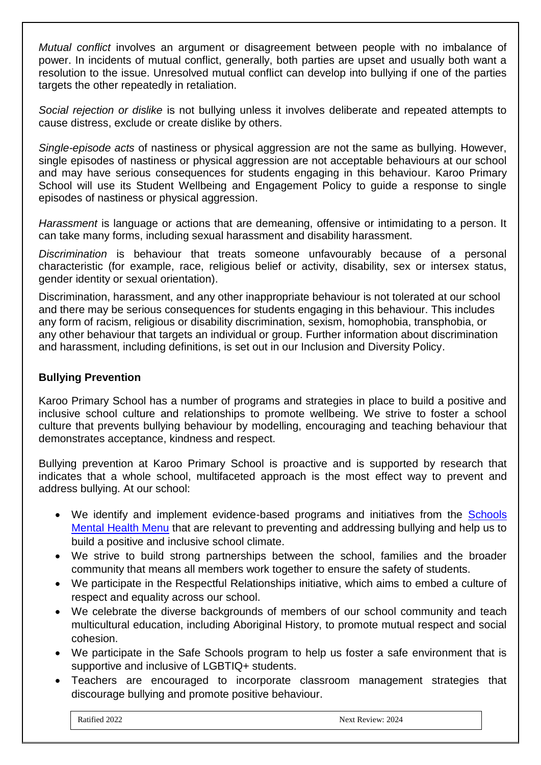*Mutual conflict* involves an argument or disagreement between people with no imbalance of power. In incidents of mutual conflict, generally, both parties are upset and usually both want a resolution to the issue. Unresolved mutual conflict can develop into bullying if one of the parties targets the other repeatedly in retaliation.

*Social rejection or dislike* is not bullying unless it involves deliberate and repeated attempts to cause distress, exclude or create dislike by others.

*Single-episode acts* of nastiness or physical aggression are not the same as bullying. However, single episodes of nastiness or physical aggression are not acceptable behaviours at our school and may have serious consequences for students engaging in this behaviour. Karoo Primary School will use its Student Wellbeing and Engagement Policy to guide a response to single episodes of nastiness or physical aggression.

*Harassment* is language or actions that are demeaning, offensive or intimidating to a person. It can take many forms, including sexual harassment and disability harassment.

*Discrimination* is behaviour that treats someone unfavourably because of a personal characteristic (for example, race, religious belief or activity, disability, sex or intersex status, gender identity or sexual orientation).

Discrimination, harassment, and any other inappropriate behaviour is not tolerated at our school and there may be serious consequences for students engaging in this behaviour. This includes any form of racism, religious or disability discrimination, sexism, homophobia, transphobia, or any other behaviour that targets an individual or group. Further information about discrimination and harassment, including definitions, is set out in our Inclusion and Diversity Policy.

## **Bullying Prevention**

Karoo Primary School has a number of programs and strategies in place to build a positive and inclusive school culture and relationships to promote wellbeing. We strive to foster a school culture that prevents bullying behaviour by modelling, encouraging and teaching behaviour that demonstrates acceptance, kindness and respect.

Bullying prevention at Karoo Primary School is proactive and is supported by research that indicates that a whole school, multifaceted approach is the most effect way to prevent and address bullying. At our school:

- We identify and implement evidence-based programs and initiatives from the [Schools](https://www.education.vic.gov.au/school/teachers/health/mentalhealth/mental-health-menu/Pages/Menu.aspx?Redirect=1)  [Mental Health Menu](https://www.education.vic.gov.au/school/teachers/health/mentalhealth/mental-health-menu/Pages/Menu.aspx?Redirect=1) that are relevant to preventing and addressing bullying and help us to build a positive and inclusive school climate.
- We strive to build strong partnerships between the school, families and the broader community that means all members work together to ensure the safety of students.
- We participate in the Respectful Relationships initiative, which aims to embed a culture of respect and equality across our school.
- We celebrate the diverse backgrounds of members of our school community and teach multicultural education, including Aboriginal History, to promote mutual respect and social cohesion.
- We participate in the Safe Schools program to help us foster a safe environment that is supportive and inclusive of LGBTIQ+ students.
- Teachers are encouraged to incorporate classroom management strategies that discourage bullying and promote positive behaviour.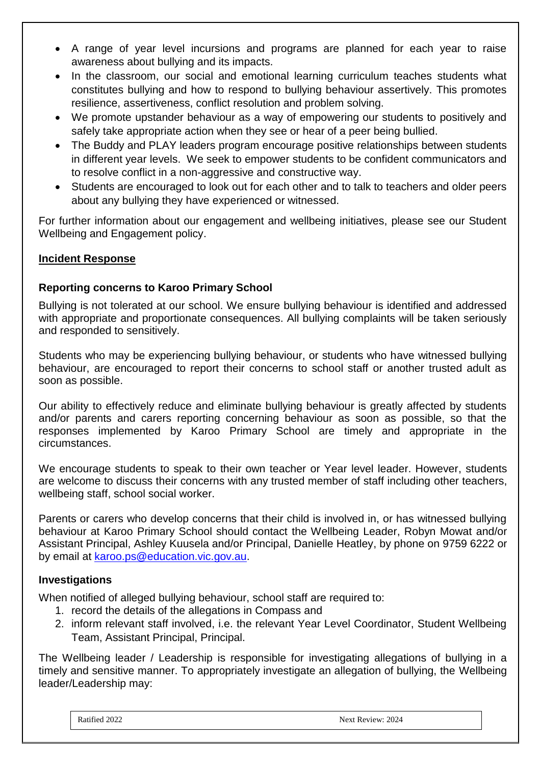- A range of year level incursions and programs are planned for each year to raise awareness about bullying and its impacts.
- In the classroom, our social and emotional learning curriculum teaches students what constitutes bullying and how to respond to bullying behaviour assertively. This promotes resilience, assertiveness, conflict resolution and problem solving.
- We promote upstander behaviour as a way of empowering our students to positively and safely take appropriate action when they see or hear of a peer being bullied.
- The Buddy and PLAY leaders program encourage positive relationships between students in different year levels. We seek to empower students to be confident communicators and to resolve conflict in a non-aggressive and constructive way.
- Students are encouraged to look out for each other and to talk to teachers and older peers about any bullying they have experienced or witnessed.

For further information about our engagement and wellbeing initiatives, please see our Student Wellbeing and Engagement policy.

# **Incident Response**

# **Reporting concerns to Karoo Primary School**

Bullying is not tolerated at our school. We ensure bullying behaviour is identified and addressed with appropriate and proportionate consequences. All bullying complaints will be taken seriously and responded to sensitively.

Students who may be experiencing bullying behaviour, or students who have witnessed bullying behaviour, are encouraged to report their concerns to school staff or another trusted adult as soon as possible.

Our ability to effectively reduce and eliminate bullying behaviour is greatly affected by students and/or parents and carers reporting concerning behaviour as soon as possible, so that the responses implemented by Karoo Primary School are timely and appropriate in the circumstances.

We encourage students to speak to their own teacher or Year level leader. However, students are welcome to discuss their concerns with any trusted member of staff including other teachers, wellbeing staff, school social worker.

Parents or carers who develop concerns that their child is involved in, or has witnessed bullying behaviour at Karoo Primary School should contact the Wellbeing Leader, Robyn Mowat and/or Assistant Principal, Ashley Kuusela and/or Principal, Danielle Heatley, by phone on 9759 6222 or by email at [karoo.ps@education.vic.gov.au.](mailto:karoo.ps@education.vic.gov.au)

## **Investigations**

When notified of alleged bullying behaviour, school staff are required to:

- 1. record the details of the allegations in Compass and
- 2. inform relevant staff involved, i.e. the relevant Year Level Coordinator, Student Wellbeing Team, Assistant Principal, Principal.

The Wellbeing leader / Leadership is responsible for investigating allegations of bullying in a timely and sensitive manner. To appropriately investigate an allegation of bullying, the Wellbeing leader/Leadership may:

REFERENCES:

Ratified 2022 Next Review: 2024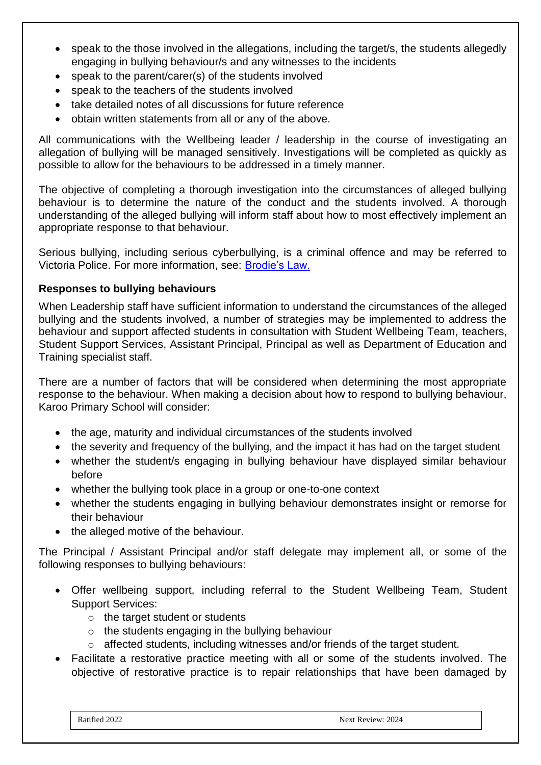- speak to the those involved in the allegations, including the target/s, the students allegedly engaging in bullying behaviour/s and any witnesses to the incidents
- speak to the parent/carer(s) of the students involved
- speak to the teachers of the students involved
- take detailed notes of all discussions for future reference
- obtain written statements from all or any of the above.

All communications with the Wellbeing leader / leadership in the course of investigating an allegation of bullying will be managed sensitively. Investigations will be completed as quickly as possible to allow for the behaviours to be addressed in a timely manner.

The objective of completing a thorough investigation into the circumstances of alleged bullying behaviour is to determine the nature of the conduct and the students involved. A thorough understanding of the alleged bullying will inform staff about how to most effectively implement an appropriate response to that behaviour.

Serious bullying, including serious cyberbullying, is a criminal offence and may be referred to Victoria Police. For more information, see: [Brodie's Law.](http://www.education.vic.gov.au/about/programs/bullystoppers/Pages/advicesheetbrodieslaw.aspx)

### **Responses to bullying behaviours**

When Leadership staff have sufficient information to understand the circumstances of the alleged bullying and the students involved, a number of strategies may be implemented to address the behaviour and support affected students in consultation with Student Wellbeing Team, teachers, Student Support Services, Assistant Principal, Principal as well as Department of Education and Training specialist staff.

There are a number of factors that will be considered when determining the most appropriate response to the behaviour. When making a decision about how to respond to bullying behaviour, Karoo Primary School will consider:

- the age, maturity and individual circumstances of the students involved
- the severity and frequency of the bullying, and the impact it has had on the target student
- whether the student/s engaging in bullying behaviour have displayed similar behaviour before
- whether the bullying took place in a group or one-to-one context
- whether the students engaging in bullying behaviour demonstrates insight or remorse for their behaviour
- the alleged motive of the behaviour.

The Principal / Assistant Principal and/or staff delegate may implement all, or some of the following responses to bullying behaviours:

- Offer wellbeing support, including referral to the Student Wellbeing Team, Student Support Services:
	- $\circ$  the target student or students
	- $\circ$  the students engaging in the bullying behaviour
	- o affected students, including witnesses and/or friends of the target student.
- Facilitate a restorative practice meeting with all or some of the students involved. The objective of restorative practice is to repair relationships that have been damaged by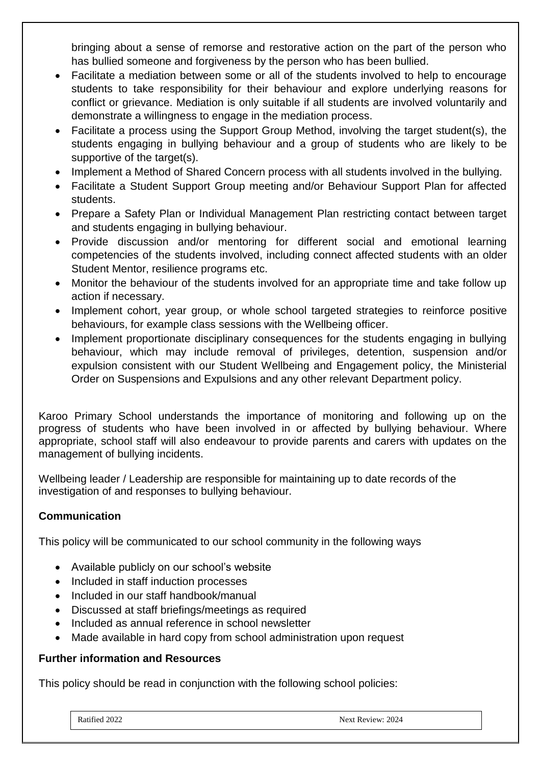bringing about a sense of remorse and restorative action on the part of the person who has bullied someone and forgiveness by the person who has been bullied.

- Facilitate a mediation between some or all of the students involved to help to encourage students to take responsibility for their behaviour and explore underlying reasons for conflict or grievance. Mediation is only suitable if all students are involved voluntarily and demonstrate a willingness to engage in the mediation process.
- Facilitate a process using the Support Group Method, involving the target student(s), the students engaging in bullying behaviour and a group of students who are likely to be supportive of the target(s).
- Implement a Method of Shared Concern process with all students involved in the bullying.
- Facilitate a Student Support Group meeting and/or Behaviour Support Plan for affected students.
- Prepare a Safety Plan or Individual Management Plan restricting contact between target and students engaging in bullying behaviour.
- Provide discussion and/or mentoring for different social and emotional learning competencies of the students involved, including connect affected students with an older Student Mentor, resilience programs etc.
- Monitor the behaviour of the students involved for an appropriate time and take follow up action if necessary.
- Implement cohort, year group, or whole school targeted strategies to reinforce positive behaviours, for example class sessions with the Wellbeing officer.
- Implement proportionate disciplinary consequences for the students engaging in bullying behaviour, which may include removal of privileges, detention, suspension and/or expulsion consistent with our Student Wellbeing and Engagement policy, the Ministerial Order on Suspensions and Expulsions and any other relevant Department policy.

Karoo Primary School understands the importance of monitoring and following up on the progress of students who have been involved in or affected by bullying behaviour. Where appropriate, school staff will also endeavour to provide parents and carers with updates on the management of bullying incidents.

Wellbeing leader / Leadership are responsible for maintaining up to date records of the investigation of and responses to bullying behaviour.

# **Communication**

This policy will be communicated to our school community in the following ways

- Available publicly on our school's website
- Included in staff induction processes
- Included in our staff handbook/manual
- Discussed at staff briefings/meetings as required
- Included as annual reference in school newsletter
- Made available in hard copy from school administration upon request

#### **Further information and Resources**

This policy should be read in conjunction with the following school policies: